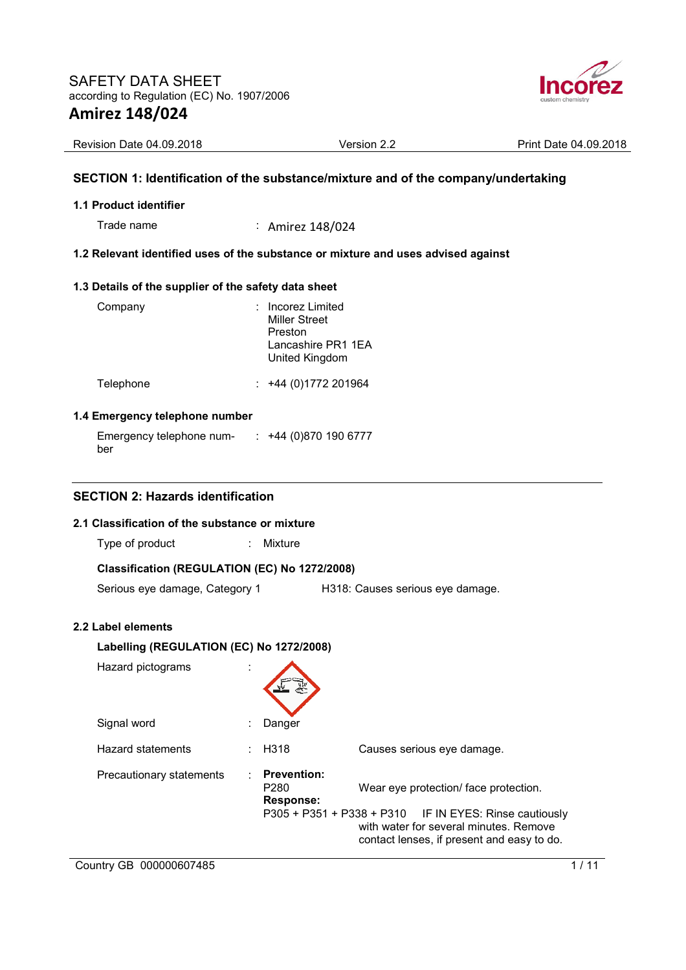

| Revision Date 04.09.2018 | Version<br>. | 04.09.2018<br>Date:<br>Print |
|--------------------------|--------------|------------------------------|
|--------------------------|--------------|------------------------------|

# **SECTION 1: Identification of the substance/mixture and of the company/undertaking**

### **1.1 Product identifier**

Trade name : Amirez 148/024

## **1.2 Relevant identified uses of the substance or mixture and uses advised against**

## **1.3 Details of the supplier of the safety data sheet**

| Company   | : Incorez Limited<br><b>Miller Street</b><br>Preston<br>Lancashire PR1 1EA<br>United Kingdom |
|-----------|----------------------------------------------------------------------------------------------|
| Telephone | $: +44(0)1772201964$                                                                         |

#### **1.4 Emergency telephone number**

| Emergency telephone num- | $\div$ +44 (0)870 190 6777 |  |
|--------------------------|----------------------------|--|
| ber                      |                            |  |

# **SECTION 2: Hazards identification**

## **2.1 Classification of the substance or mixture**

Type of product : Mixture

# **Classification (REGULATION (EC) No 1272/2008)**

Serious eye damage, Category 1 H318: Causes serious eye damage.

# **2.2 Label elements**

| Labelling (REGULATION (EC) No 1272/2008) |  |                                                                                           |                                                                                                                                                               |  |  |  |  |  |
|------------------------------------------|--|-------------------------------------------------------------------------------------------|---------------------------------------------------------------------------------------------------------------------------------------------------------------|--|--|--|--|--|
| Hazard pictograms                        |  |                                                                                           |                                                                                                                                                               |  |  |  |  |  |
| Signal word                              |  | Danger                                                                                    |                                                                                                                                                               |  |  |  |  |  |
| Hazard statements                        |  | H318                                                                                      | Causes serious eye damage.                                                                                                                                    |  |  |  |  |  |
| Precautionary statements                 |  | <b>Prevention:</b><br>P <sub>280</sub><br><b>Response:</b><br>$P305 + P351 + P338 + P310$ | Wear eye protection/ face protection.<br>IF IN EYES: Rinse cautiously<br>with water for several minutes. Remove<br>contact lenses, if present and easy to do. |  |  |  |  |  |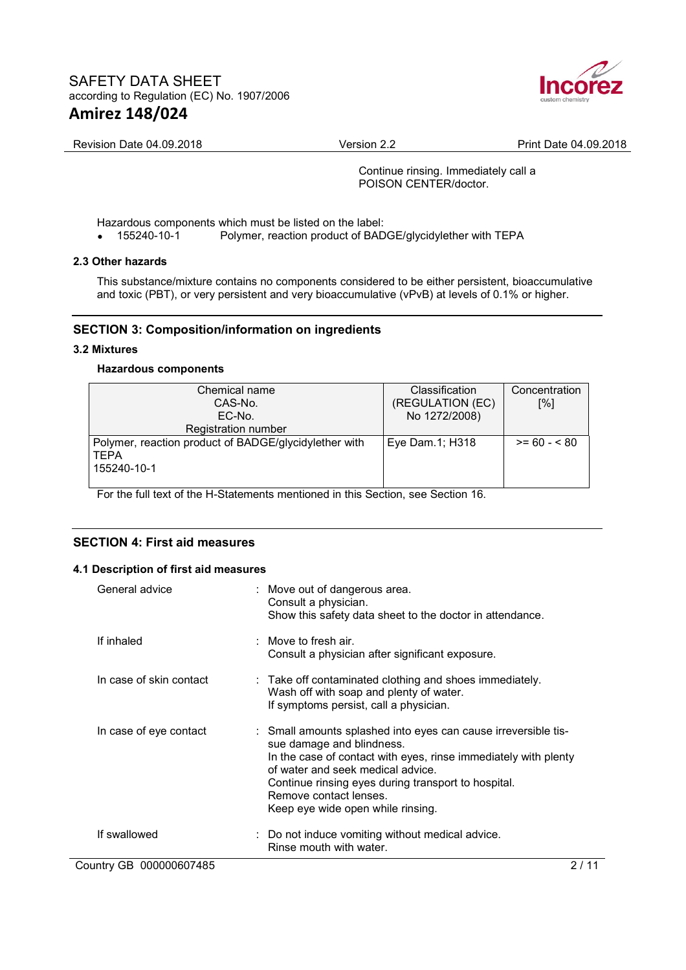

Revision Date 04.09.2018 Version 2.2 Print Date 04.09.2018

Continue rinsing. Immediately call a POISON CENTER/doctor.

Hazardous components which must be listed on the label:<br>• 155240-10-1 Polymer, reaction product of BAD

• 155240-10-1 Polymer, reaction product of BADGE/glycidylether with TEPA

### **2.3 Other hazards**

This substance/mixture contains no components considered to be either persistent, bioaccumulative and toxic (PBT), or very persistent and very bioaccumulative (vPvB) at levels of 0.1% or higher.

# **SECTION 3: Composition/information on ingredients**

### **3.2 Mixtures**

### **Hazardous components**

| Chemical name                                         | <b>Classification</b> | Concentration |
|-------------------------------------------------------|-----------------------|---------------|
| CAS-No.                                               | (REGULATION (EC)      | [%]           |
| EC-No.                                                | No 1272/2008)         |               |
| Registration number                                   |                       |               |
| Polymer, reaction product of BADGE/glycidylether with | Eye Dam.1; H318       | $>= 60 - 80$  |
| <b>TEPA</b>                                           |                       |               |
| 155240-10-1                                           |                       |               |
|                                                       |                       |               |

For the full text of the H-Statements mentioned in this Section, see Section 16.

# **SECTION 4: First aid measures**

#### **4.1 Description of first aid measures**

| General advice          | : Move out of dangerous area.<br>Consult a physician.<br>Show this safety data sheet to the doctor in attendance.                                                                                                                                                                                                         |
|-------------------------|---------------------------------------------------------------------------------------------------------------------------------------------------------------------------------------------------------------------------------------------------------------------------------------------------------------------------|
| If inhaled              | $:$ Move to fresh air.<br>Consult a physician after significant exposure.                                                                                                                                                                                                                                                 |
| In case of skin contact | : Take off contaminated clothing and shoes immediately.<br>Wash off with soap and plenty of water.<br>If symptoms persist, call a physician.                                                                                                                                                                              |
| In case of eye contact  | : Small amounts splashed into eyes can cause irreversible tis-<br>sue damage and blindness.<br>In the case of contact with eyes, rinse immediately with plenty<br>of water and seek medical advice.<br>Continue rinsing eyes during transport to hospital.<br>Remove contact lenses.<br>Keep eye wide open while rinsing. |
| If swallowed            | : Do not induce vomiting without medical advice.<br>Rinse mouth with water.                                                                                                                                                                                                                                               |
| Country GB 000000607485 | 2 / 11                                                                                                                                                                                                                                                                                                                    |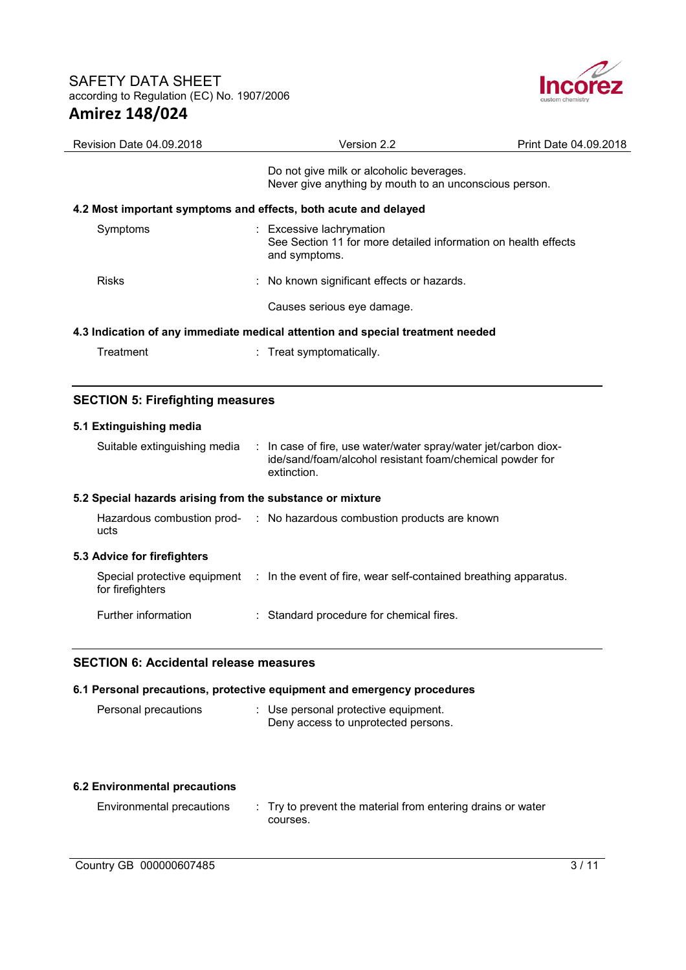

| <b>Revision Date 04.09.2018</b>                                                | Version 2.2                                                                                                 | Print Date 04.09.2018 |  |  |  |  |  |
|--------------------------------------------------------------------------------|-------------------------------------------------------------------------------------------------------------|-----------------------|--|--|--|--|--|
|                                                                                | Do not give milk or alcoholic beverages.<br>Never give anything by mouth to an unconscious person.          |                       |  |  |  |  |  |
|                                                                                | 4.2 Most important symptoms and effects, both acute and delayed                                             |                       |  |  |  |  |  |
| Symptoms                                                                       | : Excessive lachrymation<br>See Section 11 for more detailed information on health effects<br>and symptoms. |                       |  |  |  |  |  |
| <b>Risks</b>                                                                   | : No known significant effects or hazards.                                                                  |                       |  |  |  |  |  |
|                                                                                | Causes serious eye damage.                                                                                  |                       |  |  |  |  |  |
| 4.3 Indication of any immediate medical attention and special treatment needed |                                                                                                             |                       |  |  |  |  |  |
| Treatment                                                                      | : Treat symptomatically.                                                                                    |                       |  |  |  |  |  |

# **SECTION 5: Firefighting measures**

# **5.1 Extinguishing media**

| Suitable extinguishing media                              | $\therefore$ In case of fire, use water/water spray/water jet/carbon diox-<br>ide/sand/foam/alcohol resistant foam/chemical powder for<br>extinction. |
|-----------------------------------------------------------|-------------------------------------------------------------------------------------------------------------------------------------------------------|
| 5.2 Special hazards arising from the substance or mixture |                                                                                                                                                       |
| ucts                                                      | Hazardous combustion prod- : No hazardous combustion products are known                                                                               |
| 5.3 Advice for firefighters                               |                                                                                                                                                       |
| for firefighters                                          | Special protective equipment : In the event of fire, wear self-contained breathing apparatus.                                                         |
| Further information                                       | : Standard procedure for chemical fires.                                                                                                              |

# **SECTION 6: Accidental release measures**

| 6.1 Personal precautions, protective equipment and emergency procedures |  |                                                                             |  |  |  |
|-------------------------------------------------------------------------|--|-----------------------------------------------------------------------------|--|--|--|
| Personal precautions                                                    |  | : Use personal protective equipment.<br>Deny access to unprotected persons. |  |  |  |

#### **6.2 Environmental precautions**

Environmental precautions : Try to prevent the material from entering drains or water courses.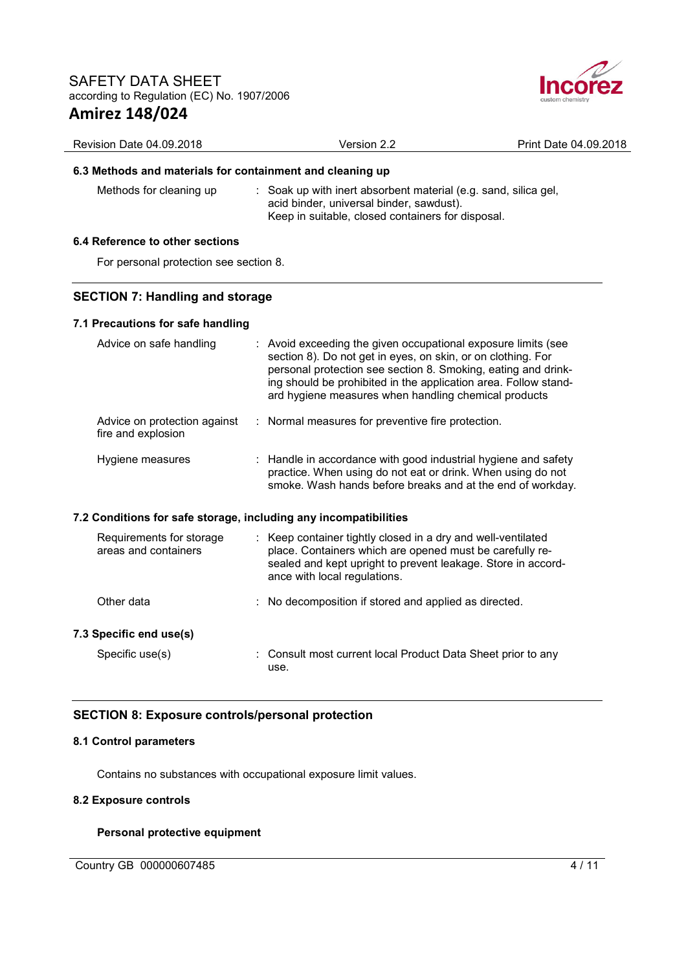

| Revision Date 04.09.2018                                         | Version 2.2                                                                                                                                                                                                                                                                                                               | Print Date 04.09.2018 |
|------------------------------------------------------------------|---------------------------------------------------------------------------------------------------------------------------------------------------------------------------------------------------------------------------------------------------------------------------------------------------------------------------|-----------------------|
| 6.3 Methods and materials for containment and cleaning up        |                                                                                                                                                                                                                                                                                                                           |                       |
| Methods for cleaning up                                          | : Soak up with inert absorbent material (e.g. sand, silica gel,<br>acid binder, universal binder, sawdust).<br>Keep in suitable, closed containers for disposal.                                                                                                                                                          |                       |
| 6.4 Reference to other sections                                  |                                                                                                                                                                                                                                                                                                                           |                       |
| For personal protection see section 8.                           |                                                                                                                                                                                                                                                                                                                           |                       |
| <b>SECTION 7: Handling and storage</b>                           |                                                                                                                                                                                                                                                                                                                           |                       |
| 7.1 Precautions for safe handling                                |                                                                                                                                                                                                                                                                                                                           |                       |
| Advice on safe handling                                          | : Avoid exceeding the given occupational exposure limits (see<br>section 8). Do not get in eyes, on skin, or on clothing. For<br>personal protection see section 8. Smoking, eating and drink-<br>ing should be prohibited in the application area. Follow stand-<br>ard hygiene measures when handling chemical products |                       |
| Advice on protection against<br>fire and explosion               | : Normal measures for preventive fire protection.                                                                                                                                                                                                                                                                         |                       |
| Hygiene measures                                                 | : Handle in accordance with good industrial hygiene and safety<br>practice. When using do not eat or drink. When using do not<br>smoke. Wash hands before breaks and at the end of workday.                                                                                                                               |                       |
| 7.2 Conditions for safe storage, including any incompatibilities |                                                                                                                                                                                                                                                                                                                           |                       |
| Requirements for storage<br>areas and containers                 | : Keep container tightly closed in a dry and well-ventilated<br>place. Containers which are opened must be carefully re-<br>sealed and kept upright to prevent leakage. Store in accord-<br>ance with local regulations.                                                                                                  |                       |
| Other data                                                       | No decomposition if stored and applied as directed.                                                                                                                                                                                                                                                                       |                       |
| 7.3 Specific end use(s)                                          |                                                                                                                                                                                                                                                                                                                           |                       |
| Specific use(s)                                                  | Consult most current local Product Data Sheet prior to any<br>use.                                                                                                                                                                                                                                                        |                       |
|                                                                  |                                                                                                                                                                                                                                                                                                                           |                       |

# **SECTION 8: Exposure controls/personal protection**

# **8.1 Control parameters**

Contains no substances with occupational exposure limit values.

# **8.2 Exposure controls**

# **Personal protective equipment**

Country GB 000000607485 4/11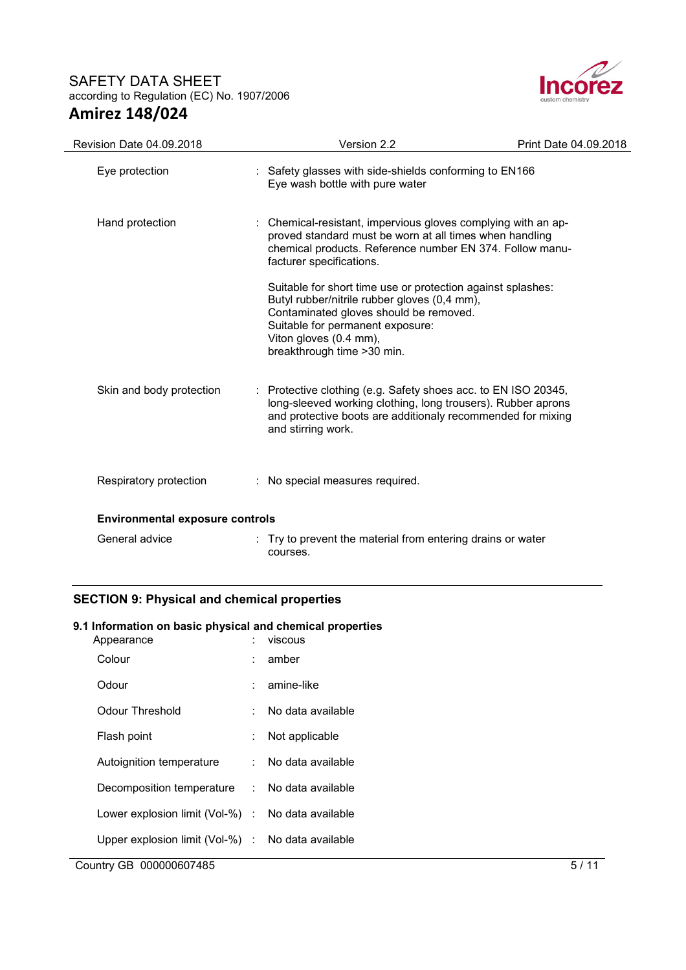

| Revision Date 04.09.2018 | Version 2.2                                                                                                                                                                                                                                        | Print Date 04.09.2018 |  |  |  |  |
|--------------------------|----------------------------------------------------------------------------------------------------------------------------------------------------------------------------------------------------------------------------------------------------|-----------------------|--|--|--|--|
| Eye protection           | : Safety glasses with side-shields conforming to EN166<br>Eye wash bottle with pure water                                                                                                                                                          |                       |  |  |  |  |
| Hand protection          | : Chemical-resistant, impervious gloves complying with an ap-<br>proved standard must be worn at all times when handling<br>chemical products. Reference number EN 374. Follow manu-<br>facturer specifications.                                   |                       |  |  |  |  |
|                          | Suitable for short time use or protection against splashes:<br>Butyl rubber/nitrile rubber gloves (0,4 mm),<br>Contaminated gloves should be removed.<br>Suitable for permanent exposure:<br>Viton gloves (0.4 mm),<br>breakthrough time > 30 min. |                       |  |  |  |  |
| Skin and body protection | : Protective clothing (e.g. Safety shoes acc. to EN ISO 20345,<br>long-sleeved working clothing, long trousers). Rubber aprons<br>and protective boots are additionaly recommended for mixing<br>and stirring work.                                |                       |  |  |  |  |
| Respiratory protection   | : No special measures required.                                                                                                                                                                                                                    |                       |  |  |  |  |
|                          | <b>Environmental exposure controls</b>                                                                                                                                                                                                             |                       |  |  |  |  |
| General advice           | : Try to prevent the material from entering drains or water<br>courses.                                                                                                                                                                            |                       |  |  |  |  |

# **SECTION 9: Physical and chemical properties**

# **9.1 Information on basic physical and chemical properties**

| Appearance                                        | t. | viscous           |      |
|---------------------------------------------------|----|-------------------|------|
| Colour                                            | t. | amber             |      |
| Odour                                             | t. | amine-like        |      |
| Odour Threshold                                   | t. | No data available |      |
| Flash point                                       | ÷. | Not applicable    |      |
| Autoignition temperature                          | ÷. | No data available |      |
| Decomposition temperature : No data available     |    |                   |      |
| Lower explosion limit (Vol-%) : No data available |    |                   |      |
| Upper explosion limit (Vol-%) : No data available |    |                   |      |
| Country GB 000000607485                           |    |                   | 5/11 |
|                                                   |    |                   |      |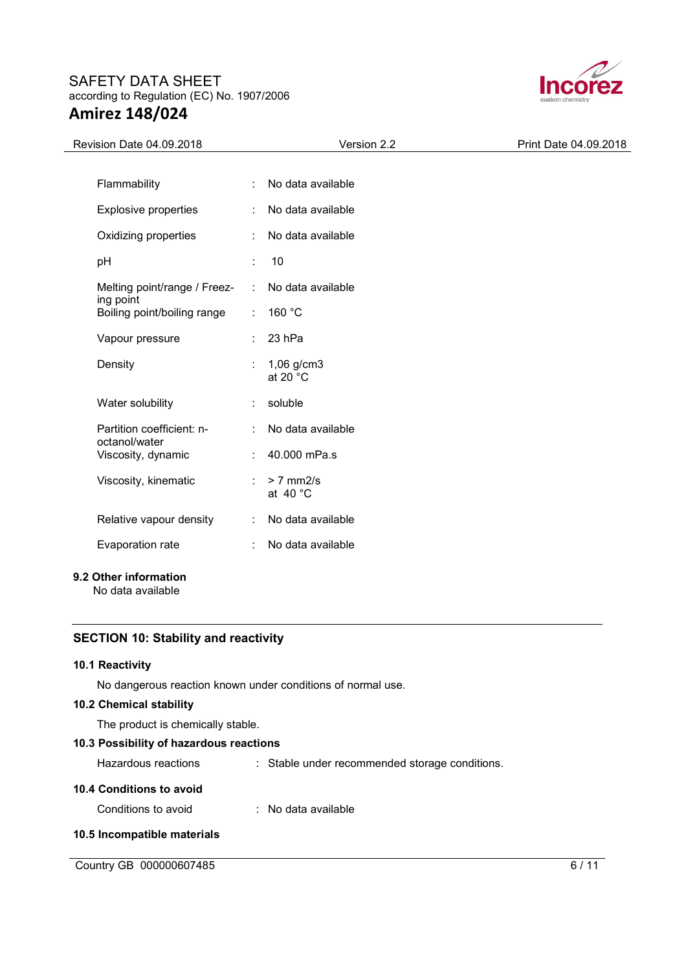

| Revision Date 04.09.2018                                              | Version 2.2                        | Print Date 04.09.2018 |
|-----------------------------------------------------------------------|------------------------------------|-----------------------|
|                                                                       |                                    |                       |
| Flammability                                                          | No data available                  |                       |
| <b>Explosive properties</b><br>÷                                      | No data available                  |                       |
| Oxidizing properties                                                  | No data available                  |                       |
| pH<br>t.                                                              | 10                                 |                       |
| Melting point/range / Freez-<br>÷                                     | No data available                  |                       |
| ing point<br>Boiling point/boiling range<br>$\mathbb{Z}^{\mathbb{Z}}$ | 160 °C                             |                       |
| Vapour pressure                                                       | 23 hPa                             |                       |
| Density                                                               | $1,06$ g/cm3<br>at 20 $^{\circ}$ C |                       |
| Water solubility                                                      | soluble                            |                       |
| Partition coefficient: n-<br>÷<br>octanol/water                       | No data available                  |                       |
| Viscosity, dynamic                                                    | 40.000 mPa.s                       |                       |
| Viscosity, kinematic<br>÷                                             | $> 7$ mm2/s<br>at $40^{\circ}$ C   |                       |
| Relative vapour density<br>÷                                          | No data available                  |                       |
| Evaporation rate<br>÷                                                 | No data available                  |                       |

# **9.2 Other information**

No data available

# **SECTION 10: Stability and reactivity**

## **10.1 Reactivity**

No dangerous reaction known under conditions of normal use.

# **10.2 Chemical stability**

The product is chemically stable.

# **10.3 Possibility of hazardous reactions**

Hazardous reactions : Stable under recommended storage conditions.

## **10.4 Conditions to avoid**

Conditions to avoid : No data available

### **10.5 Incompatible materials**

Country GB 000000607485 6/11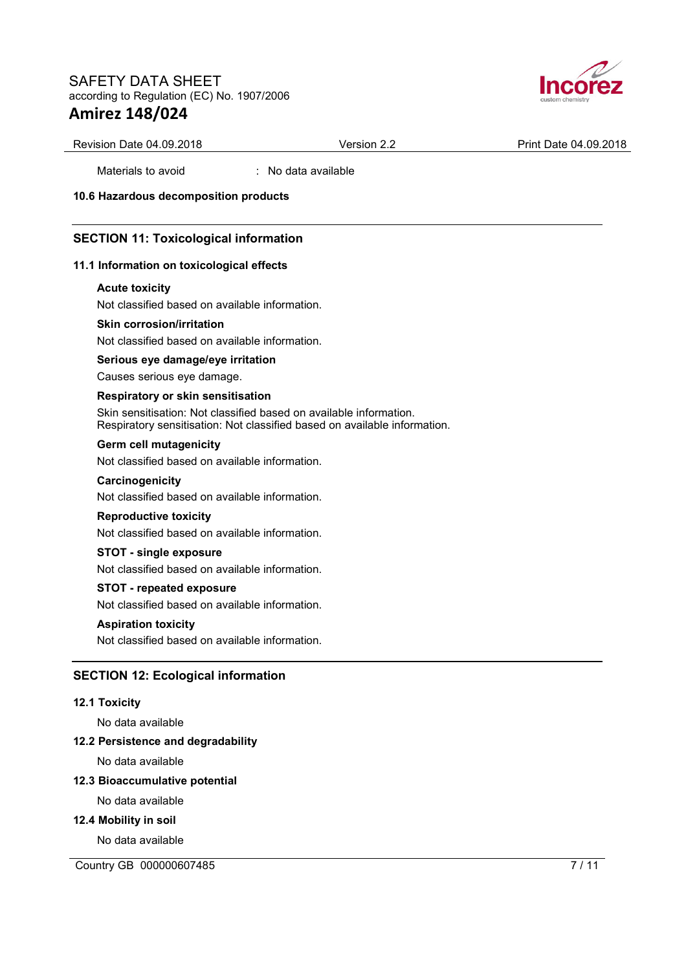

Revision Date 04.09.2018 **Version 2.2 Print Date 04.09.2018** 

Materials to avoid : No data available

**10.6 Hazardous decomposition products** 

# **SECTION 11: Toxicological information**

### **11.1 Information on toxicological effects**

#### **Acute toxicity**

Not classified based on available information.

### **Skin corrosion/irritation**

Not classified based on available information.

## **Serious eye damage/eye irritation**

Causes serious eye damage.

#### **Respiratory or skin sensitisation**

Skin sensitisation: Not classified based on available information. Respiratory sensitisation: Not classified based on available information.

## **Germ cell mutagenicity**

Not classified based on available information.

#### **Carcinogenicity**

Not classified based on available information.

#### **Reproductive toxicity**

Not classified based on available information.

#### **STOT - single exposure**

Not classified based on available information.

#### **STOT - repeated exposure**

Not classified based on available information.

#### **Aspiration toxicity**

Not classified based on available information.

# **SECTION 12: Ecological information**

#### **12.1 Toxicity**

No data available

### **12.2 Persistence and degradability**

No data available

### **12.3 Bioaccumulative potential**

No data available

#### **12.4 Mobility in soil**

No data available

Country GB 000000607485 7 / 11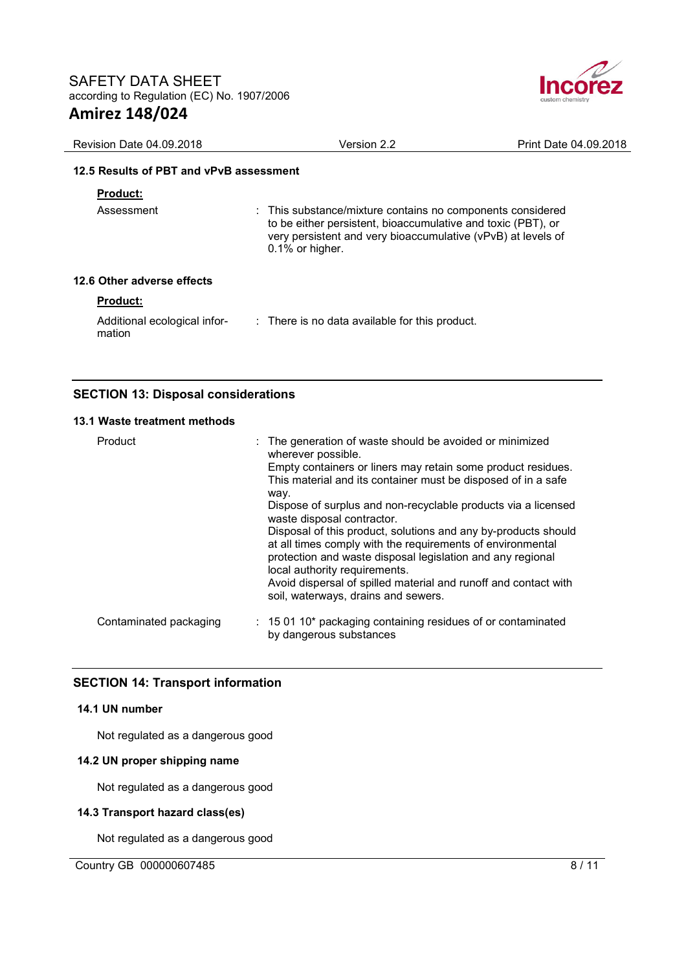

| Revision Date 04.09.2018                | Version 2.2                                                                                                                                                                                                   | Print Date 04.09.2018 |
|-----------------------------------------|---------------------------------------------------------------------------------------------------------------------------------------------------------------------------------------------------------------|-----------------------|
| 12.5 Results of PBT and vPvB assessment |                                                                                                                                                                                                               |                       |
| <b>Product:</b>                         |                                                                                                                                                                                                               |                       |
| Assessment                              | : This substance/mixture contains no components considered<br>to be either persistent, bioaccumulative and toxic (PBT), or<br>very persistent and very bioaccumulative (vPvB) at levels of<br>0.1% or higher. |                       |
| 12.6 Other adverse effects              |                                                                                                                                                                                                               |                       |
| <b>Product:</b>                         |                                                                                                                                                                                                               |                       |
| Additional ecological infor-<br>mation  | : There is no data available for this product.                                                                                                                                                                |                       |

# **SECTION 13: Disposal considerations**

#### **13.1 Waste treatment methods**

| Product                | : The generation of waste should be avoided or minimized<br>wherever possible.<br>Empty containers or liners may retain some product residues.<br>This material and its container must be disposed of in a safe<br>way.<br>Dispose of surplus and non-recyclable products via a licensed<br>waste disposal contractor.<br>Disposal of this product, solutions and any by-products should<br>at all times comply with the requirements of environmental<br>protection and waste disposal legislation and any regional<br>local authority requirements.<br>Avoid dispersal of spilled material and runoff and contact with<br>soil, waterways, drains and sewers. |
|------------------------|-----------------------------------------------------------------------------------------------------------------------------------------------------------------------------------------------------------------------------------------------------------------------------------------------------------------------------------------------------------------------------------------------------------------------------------------------------------------------------------------------------------------------------------------------------------------------------------------------------------------------------------------------------------------|
| Contaminated packaging | $: 150110*$ packaging containing residues of or contaminated<br>by dangerous substances                                                                                                                                                                                                                                                                                                                                                                                                                                                                                                                                                                         |

## **SECTION 14: Transport information**

### **14.1 UN number**

Not regulated as a dangerous good

### **14.2 UN proper shipping name**

Not regulated as a dangerous good

### **14.3 Transport hazard class(es)**

Not regulated as a dangerous good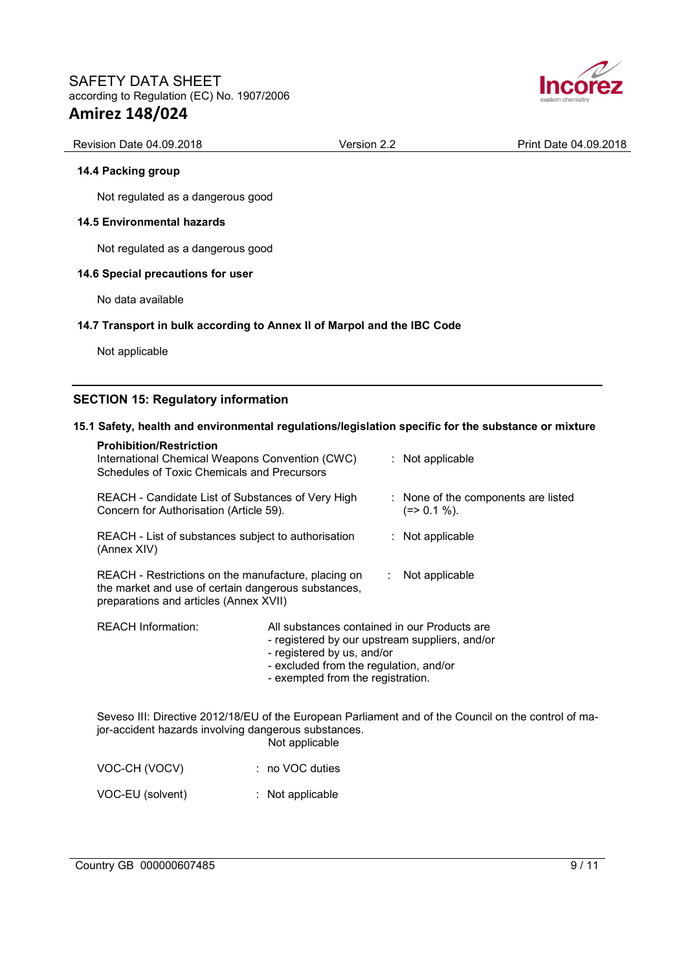

# Revision Date 04.09.2018 **Version 2.2** Print Date 04.09.2018

#### **14.4 Packing group**

Not regulated as a dangerous good

### **14.5 Environmental hazards**

Not regulated as a dangerous good

### **14.6 Special precautions for user**

No data available

### **14.7 Transport in bulk according to Annex II of Marpol and the IBC Code**

Not applicable

# **SECTION 15: Regulatory information**

### **15.1 Safety, health and environmental regulations/legislation specific for the substance or mixture**

| <b>Prohibition/Restriction</b><br>International Chemical Weapons Convention (CWC)<br>Schedules of Toxic Chemicals and Precursors                     |                                                                                                                                                                                                             |                               | $:$ Not applicable                                                                                   |
|------------------------------------------------------------------------------------------------------------------------------------------------------|-------------------------------------------------------------------------------------------------------------------------------------------------------------------------------------------------------------|-------------------------------|------------------------------------------------------------------------------------------------------|
| REACH - Candidate List of Substances of Very High<br>Concern for Authorisation (Article 59).                                                         |                                                                                                                                                                                                             |                               | : None of the components are listed<br>$(=>0.1\%).$                                                  |
| REACH - List of substances subject to authorisation<br>(Annex XIV)                                                                                   |                                                                                                                                                                                                             |                               | : Not applicable                                                                                     |
| REACH - Restrictions on the manufacture, placing on<br>the market and use of certain dangerous substances,<br>preparations and articles (Annex XVII) |                                                                                                                                                                                                             | $\mathcal{L}_{\mathcal{A}}$ . | Not applicable                                                                                       |
| <b>REACH Information:</b>                                                                                                                            | All substances contained in our Products are<br>- registered by our upstream suppliers, and/or<br>- registered by us, and/or<br>- excluded from the regulation, and/or<br>- exempted from the registration. |                               |                                                                                                      |
| jor-accident hazards involving dangerous substances.                                                                                                 | Not applicable                                                                                                                                                                                              |                               | Seveso III: Directive 2012/18/EU of the European Parliament and of the Council on the control of ma- |
| VOC-CH (VOCV)                                                                                                                                        | $: no VOC$ duties                                                                                                                                                                                           |                               |                                                                                                      |
| VOC-EU (solvent)                                                                                                                                     | : Not applicable                                                                                                                                                                                            |                               |                                                                                                      |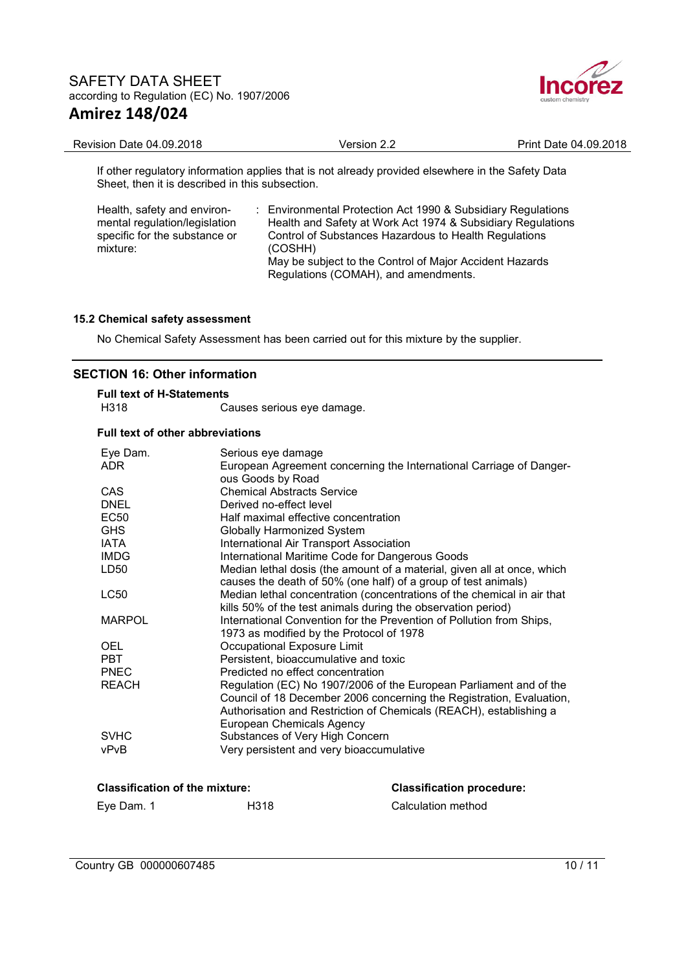

| Revision Date 04.09.2018                                                                           | Version 2.2 | Print Date 04.09.2018 |
|----------------------------------------------------------------------------------------------------|-------------|-----------------------|
| If other requisitory information applies that is not already provided elsewhere in the Safety Data |             |                       |

If other regulatory information applies that is not already provided elsewhere in the Safety Data Sheet, then it is described in this subsection.

| Health, safety and environ-   | : Environmental Protection Act 1990 & Subsidiary Regulations                                    |
|-------------------------------|-------------------------------------------------------------------------------------------------|
| mental regulation/legislation | Health and Safety at Work Act 1974 & Subsidiary Regulations                                     |
| specific for the substance or | Control of Substances Hazardous to Health Regulations                                           |
| mixture:                      | (COSHH)                                                                                         |
|                               | May be subject to the Control of Major Accident Hazards<br>Regulations (COMAH), and amendments. |

## **15.2 Chemical safety assessment**

No Chemical Safety Assessment has been carried out for this mixture by the supplier.

# **SECTION 16: Other information**

| <b>Full text of H-Statements</b> |                            |  |  |  |
|----------------------------------|----------------------------|--|--|--|
| H318                             | Causes serious eye damage. |  |  |  |

#### **Full text of other abbreviations**

| Eye Dam.      | Serious eye damage                                                      |
|---------------|-------------------------------------------------------------------------|
| <b>ADR</b>    | European Agreement concerning the International Carriage of Danger-     |
|               | ous Goods by Road                                                       |
| <b>CAS</b>    | <b>Chemical Abstracts Service</b>                                       |
| <b>DNEL</b>   | Derived no-effect level                                                 |
| <b>EC50</b>   | Half maximal effective concentration                                    |
| <b>GHS</b>    | Globally Harmonized System                                              |
| <b>IATA</b>   | <b>International Air Transport Association</b>                          |
| <b>IMDG</b>   | International Maritime Code for Dangerous Goods                         |
| LD50          | Median lethal dosis (the amount of a material, given all at once, which |
|               | causes the death of 50% (one half) of a group of test animals)          |
| LC50          | Median lethal concentration (concentrations of the chemical in air that |
|               | kills 50% of the test animals during the observation period)            |
| <b>MARPOL</b> | International Convention for the Prevention of Pollution from Ships,    |
|               | 1973 as modified by the Protocol of 1978                                |
| <b>OEL</b>    | Occupational Exposure Limit                                             |
| <b>PBT</b>    | Persistent, bioaccumulative and toxic                                   |
| <b>PNEC</b>   | Predicted no effect concentration                                       |
| <b>REACH</b>  | Regulation (EC) No 1907/2006 of the European Parliament and of the      |
|               | Council of 18 December 2006 concerning the Registration, Evaluation,    |
|               | Authorisation and Restriction of Chemicals (REACH), establishing a      |
|               | European Chemicals Agency                                               |
| <b>SVHC</b>   | Substances of Very High Concern                                         |
| vPvB          | Very persistent and very bioaccumulative                                |
|               |                                                                         |

| <b>Classification of the mixture:</b> |      | <b>Classification procedure:</b> |
|---------------------------------------|------|----------------------------------|
| Eve Dam. 1                            | H318 | Calculation method               |